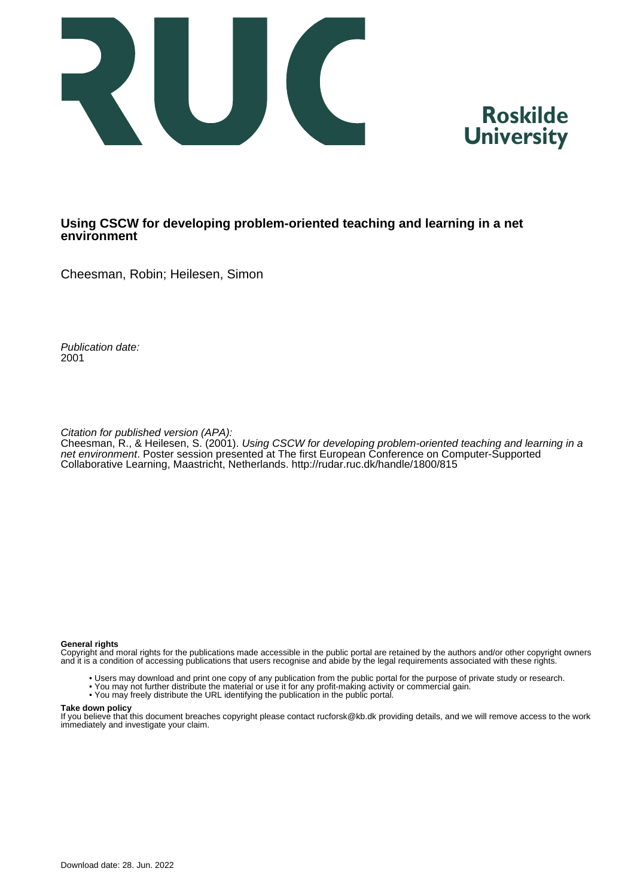



### **Using CSCW for developing problem-oriented teaching and learning in a net environment**

Cheesman, Robin; Heilesen, Simon

Publication date: 2001

Citation for published version (APA):

Cheesman, R., & Heilesen, S. (2001). Using CSCW for developing problem-oriented teaching and learning in a net environment. Poster session presented at The first European Conference on Computer-Supported Collaborative Learning, Maastricht, Netherlands. <http://rudar.ruc.dk/handle/1800/815>

#### **General rights**

Copyright and moral rights for the publications made accessible in the public portal are retained by the authors and/or other copyright owners and it is a condition of accessing publications that users recognise and abide by the legal requirements associated with these rights.

- Users may download and print one copy of any publication from the public portal for the purpose of private study or research.
- You may not further distribute the material or use it for any profit-making activity or commercial gain.
- You may freely distribute the URL identifying the publication in the public portal.

#### **Take down policy**

If you believe that this document breaches copyright please contact rucforsk@kb.dk providing details, and we will remove access to the work immediately and investigate your claim.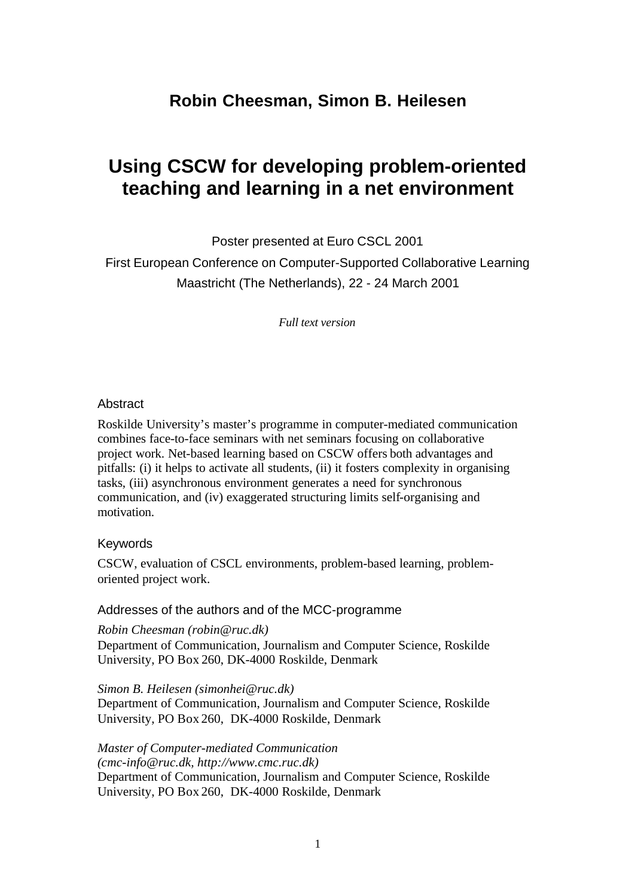# **Robin Cheesman, Simon B. Heilesen**

# **Using CSCW for developing problem-oriented teaching and learning in a net environment**

Poster presented at Euro CSCL 2001

First European Conference on Computer-Supported Collaborative Learning Maastricht (The Netherlands), 22 - 24 March 2001

*Full text version*

### **Abstract**

Roskilde University's master's programme in computer-mediated communication combines face-to-face seminars with net seminars focusing on collaborative project work. Net-based learning based on CSCW offers both advantages and pitfalls: (i) it helps to activate all students, (ii) it fosters complexity in organising tasks, (iii) asynchronous environment generates a need for synchronous communication, and (iv) exaggerated structuring limits self-organising and motivation.

#### Keywords

CSCW, evaluation of CSCL environments, problem-based learning, problemoriented project work.

#### Addresses of the authors and of the MCC-programme

*Robin Cheesman (robin@ruc.dk)* Department of Communication, Journalism and Computer Science, Roskilde University, PO Box 260, DK-4000 Roskilde, Denmark

*Simon B. Heilesen (simonhei@ruc.dk)* Department of Communication, Journalism and Computer Science, Roskilde University, PO Box 260, DK-4000 Roskilde, Denmark

*Master of Computer-mediated Communication (cmc-info@ruc.dk, http://www.cmc.ruc.dk)* Department of Communication, Journalism and Computer Science, Roskilde University, PO Box 260, DK-4000 Roskilde, Denmark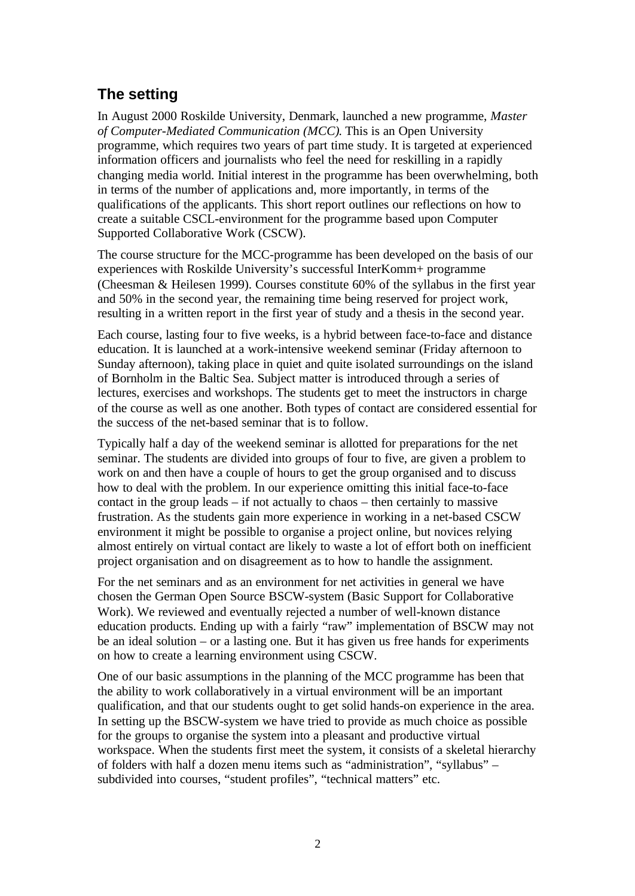# **The setting**

In August 2000 Roskilde University, Denmark, launched a new programme, *Master of Computer-Mediated Communication (MCC)*. This is an Open University programme, which requires two years of part time study. It is targeted at experienced information officers and journalists who feel the need for reskilling in a rapidly changing media world. Initial interest in the programme has been overwhelming, both in terms of the number of applications and, more importantly, in terms of the qualifications of the applicants. This short report outlines our reflections on how to create a suitable CSCL-environment for the programme based upon Computer Supported Collaborative Work (CSCW).

The course structure for the MCC-programme has been developed on the basis of our experiences with Roskilde University's successful InterKomm+ programme (Cheesman & Heilesen 1999). Courses constitute 60% of the syllabus in the first year and 50% in the second year, the remaining time being reserved for project work, resulting in a written report in the first year of study and a thesis in the second year.

Each course, lasting four to five weeks, is a hybrid between face-to-face and distance education. It is launched at a work-intensive weekend seminar (Friday afternoon to Sunday afternoon), taking place in quiet and quite isolated surroundings on the island of Bornholm in the Baltic Sea. Subject matter is introduced through a series of lectures, exercises and workshops. The students get to meet the instructors in charge of the course as well as one another. Both types of contact are considered essential for the success of the net-based seminar that is to follow.

Typically half a day of the weekend seminar is allotted for preparations for the net seminar. The students are divided into groups of four to five, are given a problem to work on and then have a couple of hours to get the group organised and to discuss how to deal with the problem. In our experience omitting this initial face-to-face contact in the group leads – if not actually to chaos – then certainly to massive frustration. As the students gain more experience in working in a net-based CSCW environment it might be possible to organise a project online, but novices relying almost entirely on virtual contact are likely to waste a lot of effort both on inefficient project organisation and on disagreement as to how to handle the assignment.

For the net seminars and as an environment for net activities in general we have chosen the German Open Source BSCW-system (Basic Support for Collaborative Work). We reviewed and eventually rejected a number of well-known distance education products. Ending up with a fairly "raw" implementation of BSCW may not be an ideal solution – or a lasting one. But it has given us free hands for experiments on how to create a learning environment using CSCW.

One of our basic assumptions in the planning of the MCC programme has been that the ability to work collaboratively in a virtual environment will be an important qualification, and that our students ought to get solid hands-on experience in the area. In setting up the BSCW-system we have tried to provide as much choice as possible for the groups to organise the system into a pleasant and productive virtual workspace. When the students first meet the system, it consists of a skeletal hierarchy of folders with half a dozen menu items such as "administration", "syllabus" – subdivided into courses, "student profiles", "technical matters" etc.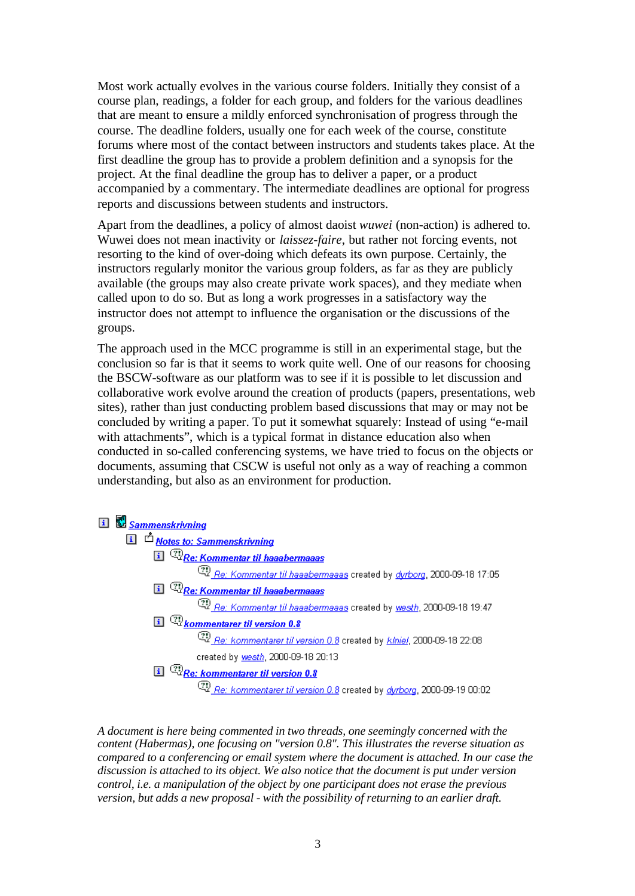Most work actually evolves in the various course folders. Initially they consist of a course plan, readings, a folder for each group, and folders for the various deadlines that are meant to ensure a mildly enforced synchronisation of progress through the course. The deadline folders, usually one for each week of the course, constitute forums where most of the contact between instructors and students takes place. At the first deadline the group has to provide a problem definition and a synopsis for the project. At the final deadline the group has to deliver a paper, or a product accompanied by a commentary. The intermediate deadlines are optional for progress reports and discussions between students and instructors.

Apart from the deadlines, a policy of almost daoist *wuwei* (non-action) is adhered to. Wuwei does not mean inactivity or *laissez-faire*, but rather not forcing events, not resorting to the kind of over-doing which defeats its own purpose. Certainly, the instructors regularly monitor the various group folders, as far as they are publicly available (the groups may also create private work spaces), and they mediate when called upon to do so. But as long a work progresses in a satisfactory way the instructor does not attempt to influence the organisation or the discussions of the groups.

The approach used in the MCC programme is still in an experimental stage, but the conclusion so far is that it seems to work quite well. One of our reasons for choosing the BSCW-software as our platform was to see if it is possible to let discussion and collaborative work evolve around the creation of products (papers, presentations, web sites), rather than just conducting problem based discussions that may or may not be concluded by writing a paper. To put it somewhat squarely: Instead of using "e-mail with attachments", which is a typical format in distance education also when conducted in so-called conferencing systems, we have tried to focus on the objects or documents, assuming that CSCW is useful not only as a way of reaching a common understanding, but also as an environment for production.



*A document is here being commented in two threads, one seemingly concerned with the content (Habermas), one focusing on "version 0.8". This illustrates the reverse situation as compared to a conferencing or email system where the document is attached. In our case the discussion is attached to its object. We also notice that the document is put under version control, i.e. a manipulation of the object by one participant does not erase the previous version, but adds a new proposal - with the possibility of returning to an earlier draft.*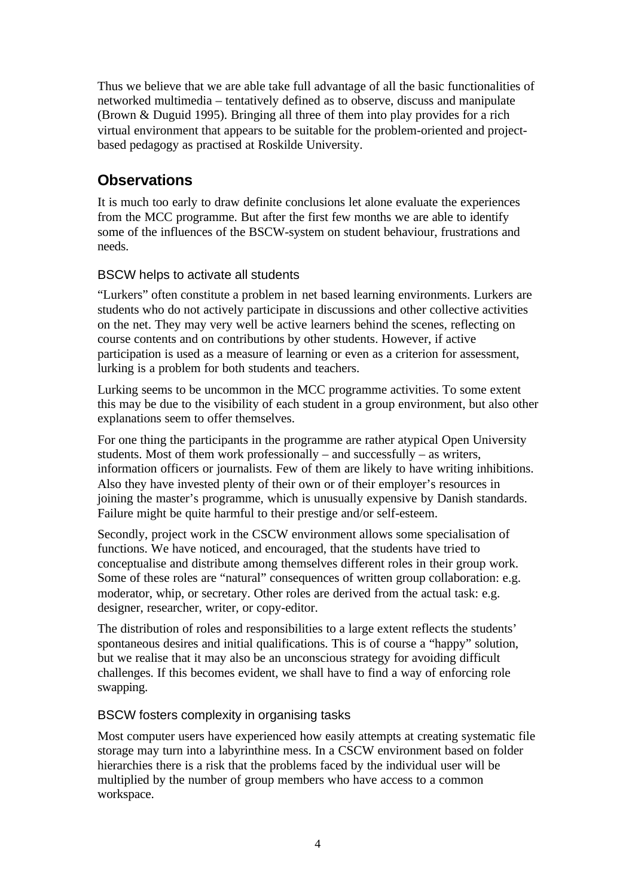Thus we believe that we are able take full advantage of all the basic functionalities of networked multimedia – tentatively defined as to observe, discuss and manipulate (Brown & Duguid 1995). Bringing all three of them into play provides for a rich virtual environment that appears to be suitable for the problem-oriented and projectbased pedagogy as practised at Roskilde University.

# **Observations**

It is much too early to draw definite conclusions let alone evaluate the experiences from the MCC programme. But after the first few months we are able to identify some of the influences of the BSCW-system on student behaviour, frustrations and needs.

# BSCW helps to activate all students

"Lurkers" often constitute a problem in net based learning environments. Lurkers are students who do not actively participate in discussions and other collective activities on the net. They may very well be active learners behind the scenes, reflecting on course contents and on contributions by other students. However, if active participation is used as a measure of learning or even as a criterion for assessment, lurking is a problem for both students and teachers.

Lurking seems to be uncommon in the MCC programme activities. To some extent this may be due to the visibility of each student in a group environment, but also other explanations seem to offer themselves.

For one thing the participants in the programme are rather atypical Open University students. Most of them work professionally – and successfully – as writers, information officers or journalists. Few of them are likely to have writing inhibitions. Also they have invested plenty of their own or of their employer's resources in joining the master's programme, which is unusually expensive by Danish standards. Failure might be quite harmful to their prestige and/or self-esteem.

Secondly, project work in the CSCW environment allows some specialisation of functions. We have noticed, and encouraged, that the students have tried to conceptualise and distribute among themselves different roles in their group work. Some of these roles are "natural" consequences of written group collaboration: e.g. moderator, whip, or secretary. Other roles are derived from the actual task: e.g. designer, researcher, writer, or copy-editor.

The distribution of roles and responsibilities to a large extent reflects the students' spontaneous desires and initial qualifications. This is of course a "happy" solution, but we realise that it may also be an unconscious strategy for avoiding difficult challenges. If this becomes evident, we shall have to find a way of enforcing role swapping.

## BSCW fosters complexity in organising tasks

Most computer users have experienced how easily attempts at creating systematic file storage may turn into a labyrinthine mess. In a CSCW environment based on folder hierarchies there is a risk that the problems faced by the individual user will be multiplied by the number of group members who have access to a common workspace.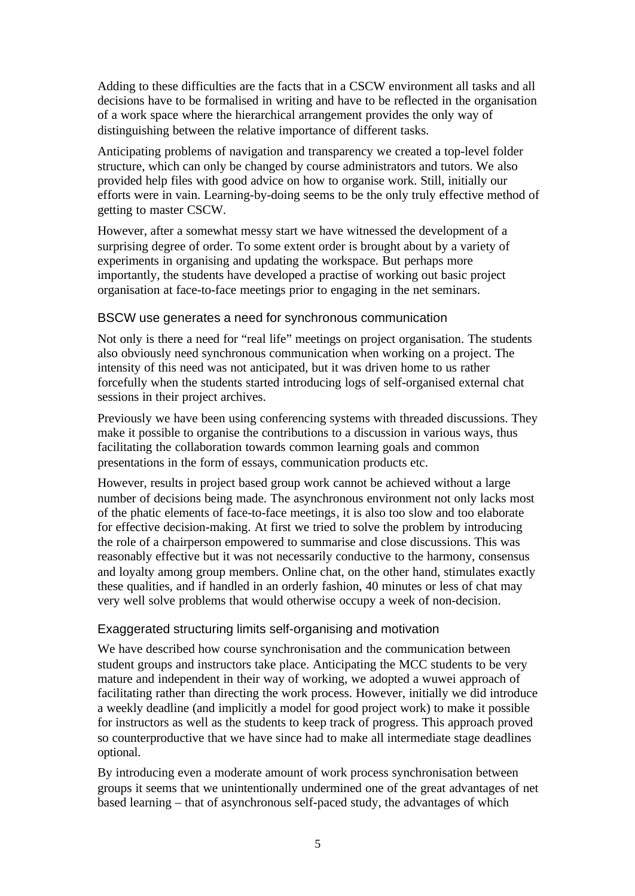Adding to these difficulties are the facts that in a CSCW environment all tasks and all decisions have to be formalised in writing and have to be reflected in the organisation of a work space where the hierarchical arrangement provides the only way of distinguishing between the relative importance of different tasks.

Anticipating problems of navigation and transparency we created a top-level folder structure, which can only be changed by course administrators and tutors. We also provided help files with good advice on how to organise work. Still, initially our efforts were in vain. Learning-by-doing seems to be the only truly effective method of getting to master CSCW.

However, after a somewhat messy start we have witnessed the development of a surprising degree of order. To some extent order is brought about by a variety of experiments in organising and updating the workspace. But perhaps more importantly, the students have developed a practise of working out basic project organisation at face-to-face meetings prior to engaging in the net seminars.

### BSCW use generates a need for synchronous communication

Not only is there a need for "real life" meetings on project organisation. The students also obviously need synchronous communication when working on a project. The intensity of this need was not anticipated, but it was driven home to us rather forcefully when the students started introducing logs of self-organised external chat sessions in their project archives.

Previously we have been using conferencing systems with threaded discussions. They make it possible to organise the contributions to a discussion in various ways, thus facilitating the collaboration towards common learning goals and common presentations in the form of essays, communication products etc.

However, results in project based group work cannot be achieved without a large number of decisions being made. The asynchronous environment not only lacks most of the phatic elements of face-to-face meetings, it is also too slow and too elaborate for effective decision-making. At first we tried to solve the problem by introducing the role of a chairperson empowered to summarise and close discussions. This was reasonably effective but it was not necessarily conductive to the harmony, consensus and loyalty among group members. Online chat, on the other hand, stimulates exactly these qualities, and if handled in an orderly fashion, 40 minutes or less of chat may very well solve problems that would otherwise occupy a week of non-decision.

## Exaggerated structuring limits self-organising and motivation

We have described how course synchronisation and the communication between student groups and instructors take place. Anticipating the MCC students to be very mature and independent in their way of working, we adopted a wuwei approach of facilitating rather than directing the work process. However, initially we did introduce a weekly deadline (and implicitly a model for good project work) to make it possible for instructors as well as the students to keep track of progress. This approach proved so counterproductive that we have since had to make all intermediate stage deadlines optional.

By introducing even a moderate amount of work process synchronisation between groups it seems that we unintentionally undermined one of the great advantages of net based learning – that of asynchronous self-paced study, the advantages of which